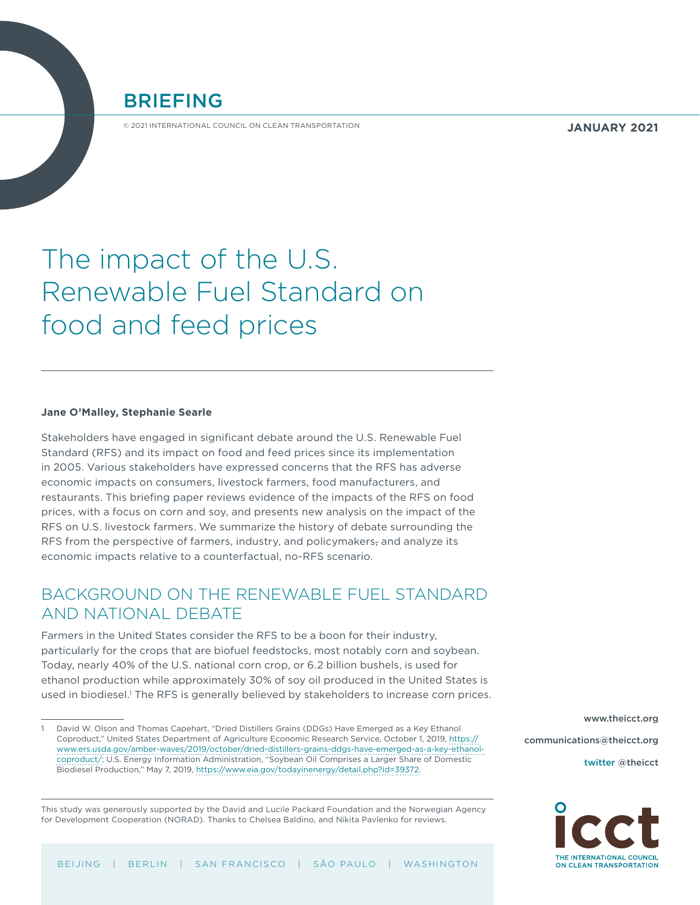BRIEFING

© 2021 INTERNATIONAL COUNCIL ON CLEAN TRANSPORTATION

**JANUARY 2021**

# The impact of the U.S. Renewable Fuel Standard on food and feed prices

#### **Jane O'Malley, Stephanie Searle**

Stakeholders have engaged in significant debate around the U.S. Renewable Fuel Standard (RFS) and its impact on food and feed prices since its implementation in 2005. Various stakeholders have expressed concerns that the RFS has adverse economic impacts on consumers, livestock farmers, food manufacturers, and restaurants. This briefing paper reviews evidence of the impacts of the RFS on food prices, with a focus on corn and soy, and presents new analysis on the impact of the RFS on U.S. livestock farmers. We summarize the history of debate surrounding the RFS from the perspective of farmers, industry, and policymakers, and analyze its economic impacts relative to a counterfactual, no-RFS scenario.

# BACKGROUND ON THE RENEWABLE FUEL STANDARD AND NATIONAL DEBATE

Farmers in the United States consider the RFS to be a boon for their industry, particularly for the crops that are biofuel feedstocks, most notably corn and soybean. Today, nearly 40% of the U.S. national corn crop, or 6.2 billion bushels, is used for ethanol production while approximately 30% of soy oil produced in the United States is used in biodiesel.<sup>1</sup> The RFS is generally believed by stakeholders to increase corn prices.

This study was generously supported by the David and Lucile Packard Foundation and the Norwegian Agency for Development Cooperation (NORAD). Thanks to Chelsea Baldino, and Nikita Pavlenko for reviews.

[www.theicct.org](http://www.theicct.org) [communications@theicct.org](mailto:communications%40theicct.org%20%20%20%20?subject=) twitter @[theicct](https://twitter.com/TheICCT)



<sup>1</sup> David W. Olson and Thomas Capehart, "Dried Distillers Grains (DDGs) Have Emerged as a Key Ethanol Coproduct," United States Department of Agriculture Economic Research Service, October 1, 2019, [https://](https://www.ers.usda.gov/amber-waves/2019/october/dried-distillers-grains-ddgs-have-emerged-as-a-key-ethanol-coproduct/) [www.ers.usda.gov/amber-waves/2019/october/dried-distillers-grains-ddgs-have-emerged-as-a-key-ethanol](https://www.ers.usda.gov/amber-waves/2019/october/dried-distillers-grains-ddgs-have-emerged-as-a-key-ethanol-coproduct/)[coproduct/](https://www.ers.usda.gov/amber-waves/2019/october/dried-distillers-grains-ddgs-have-emerged-as-a-key-ethanol-coproduct/); U.S. Energy Information Administration, "Soybean Oil Comprises a Larger Share of Domestic Biodiesel Production," May 7, 2019, [https://www.eia.gov/todayinenergy/detail.php?id=39372.](https://www.eia.gov/todayinenergy/detail.php?id=39372)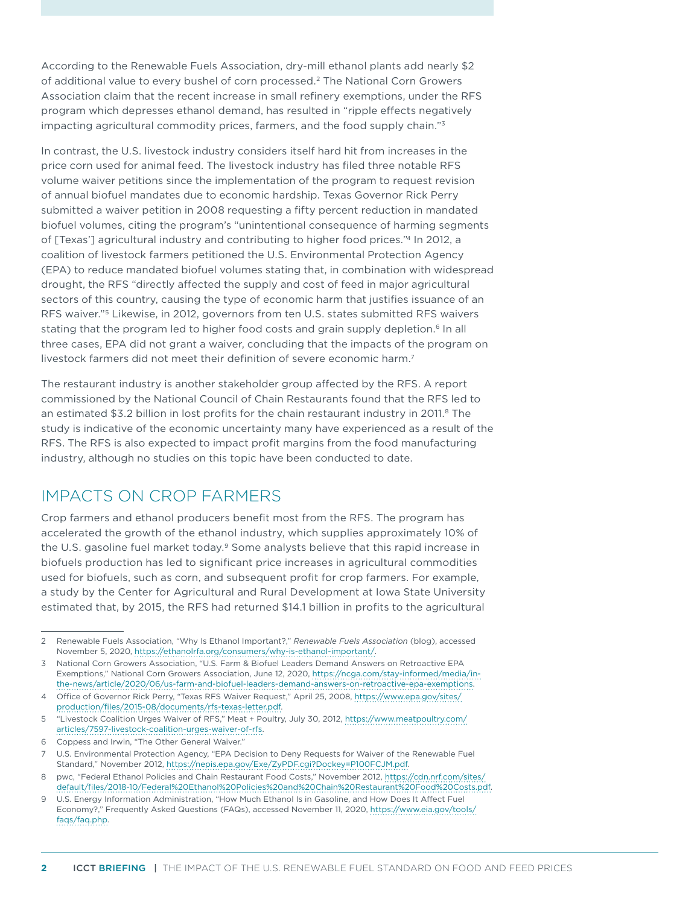According to the Renewable Fuels Association, dry-mill ethanol plants add nearly \$2 of additional value to every bushel of corn processed.<sup>2</sup> The National Corn Growers Association claim that the recent increase in small refinery exemptions, under the RFS program which depresses ethanol demand, has resulted in "ripple effects negatively impacting agricultural commodity prices, farmers, and the food supply chain."3

In contrast, the U.S. livestock industry considers itself hard hit from increases in the price corn used for animal feed. The livestock industry has filed three notable RFS volume waiver petitions since the implementation of the program to request revision of annual biofuel mandates due to economic hardship. Texas Governor Rick Perry submitted a waiver petition in 2008 requesting a fifty percent reduction in mandated biofuel volumes, citing the program's "unintentional consequence of harming segments of [Texas'] agricultural industry and contributing to higher food prices."4 In 2012, a coalition of livestock farmers petitioned the U.S. Environmental Protection Agency (EPA) to reduce mandated biofuel volumes stating that, in combination with widespread drought, the RFS "directly affected the supply and cost of feed in major agricultural sectors of this country, causing the type of economic harm that justifies issuance of an RFS waiver."5 Likewise, in 2012, governors from ten U.S. states submitted RFS waivers stating that the program led to higher food costs and grain supply depletion.<sup>6</sup> In all three cases, EPA did not grant a waiver, concluding that the impacts of the program on livestock farmers did not meet their definition of severe economic harm.7

The restaurant industry is another stakeholder group affected by the RFS. A report commissioned by the National Council of Chain Restaurants found that the RFS led to an estimated \$3.2 billion in lost profits for the chain restaurant industry in 2011.<sup>8</sup> The study is indicative of the economic uncertainty many have experienced as a result of the RFS. The RFS is also expected to impact profit margins from the food manufacturing industry, although no studies on this topic have been conducted to date.

# IMPACTS ON CROP FARMERS

Crop farmers and ethanol producers benefit most from the RFS. The program has accelerated the growth of the ethanol industry, which supplies approximately 10% of the U.S. gasoline fuel market today.<sup>9</sup> Some analysts believe that this rapid increase in biofuels production has led to significant price increases in agricultural commodities used for biofuels, such as corn, and subsequent profit for crop farmers. For example, a study by the Center for Agricultural and Rural Development at Iowa State University estimated that, by 2015, the RFS had returned \$14.1 billion in profits to the agricultural

<sup>2</sup> Renewable Fuels Association, "Why Is Ethanol Important?," *Renewable Fuels Association* (blog), accessed November 5, 2020, [https://ethanolrfa.org/consumers/why-is-ethanol-important/.](https://ethanolrfa.org/consumers/why-is-ethanol-important/)

<sup>3</sup> National Corn Growers Association, "U.S. Farm & Biofuel Leaders Demand Answers on Retroactive EPA Exemptions," National Corn Growers Association, June 12, 2020, [https://ncga.com/stay-informed/media/in](https://ncga.com/stay-informed/media/in-the-news/article/2020/06/us-farm-and-biofuel-leaders-demand-answers-on-retroactive-epa-exemptions)[the-news/article/2020/06/us-farm-and-biofuel-leaders-demand-answers-on-retroactive-epa-exemptions.](https://ncga.com/stay-informed/media/in-the-news/article/2020/06/us-farm-and-biofuel-leaders-demand-answers-on-retroactive-epa-exemptions)

<sup>4</sup> Office of Governor Rick Perry, "Texas RFS Waiver Request," April 25, 2008, [https://www.epa.gov/sites/](https://www.epa.gov/sites/production/files/2015-08/documents/rfs-texas-letter.pdf) [production/files/2015-08/documents/rfs-texas-letter.pdf.](https://www.epa.gov/sites/production/files/2015-08/documents/rfs-texas-letter.pdf)

<sup>5</sup> "Livestock Coalition Urges Waiver of RFS," Meat + Poultry, July 30, 2012, [https://www.meatpoultry.com/](https://www.meatpoultry.com/articles/7597-livestock-coalition-urges-waiver-of-rfs) [articles/7597-livestock-coalition-urges-waiver-of-rfs](https://www.meatpoultry.com/articles/7597-livestock-coalition-urges-waiver-of-rfs).

<sup>6</sup> Coppess and Irwin, "The Other General Waiver."

<sup>7</sup> U.S. Environmental Protection Agency, "EPA Decision to Deny Requests for Waiver of the Renewable Fuel Standard," November 2012, [https://nepis.epa.gov/Exe/ZyPDF.cgi?Dockey=P100FCJM.pdf.](https://nepis.epa.gov/Exe/ZyPDF.cgi?Dockey=P100FCJM.pdf)

<sup>8</sup> pwc, "Federal Ethanol Policies and Chain Restaurant Food Costs," November 2012, [https://cdn.nrf.com/sites/](https://cdn.nrf.com/sites/default/files/2018-10/Federal%20Ethanol%20Policies%20and%20Chain%20Restaurant%20Food%20Costs.pdf) [default/files/2018-10/Federal%20Ethanol%20Policies%20and%20Chain%20Restaurant%20Food%20Costs.pdf](https://cdn.nrf.com/sites/default/files/2018-10/Federal%20Ethanol%20Policies%20and%20Chain%20Restaurant%20Food%20Costs.pdf).

<sup>9</sup> U.S. Energy Information Administration, "How Much Ethanol Is in Gasoline, and How Does It Affect Fuel Economy?," Frequently Asked Questions (FAQs), accessed November 11, 2020, [https://www.eia.gov/tools/](https://www.eia.gov/tools/faqs/faq.php) [faqs/faq.php.](https://www.eia.gov/tools/faqs/faq.php)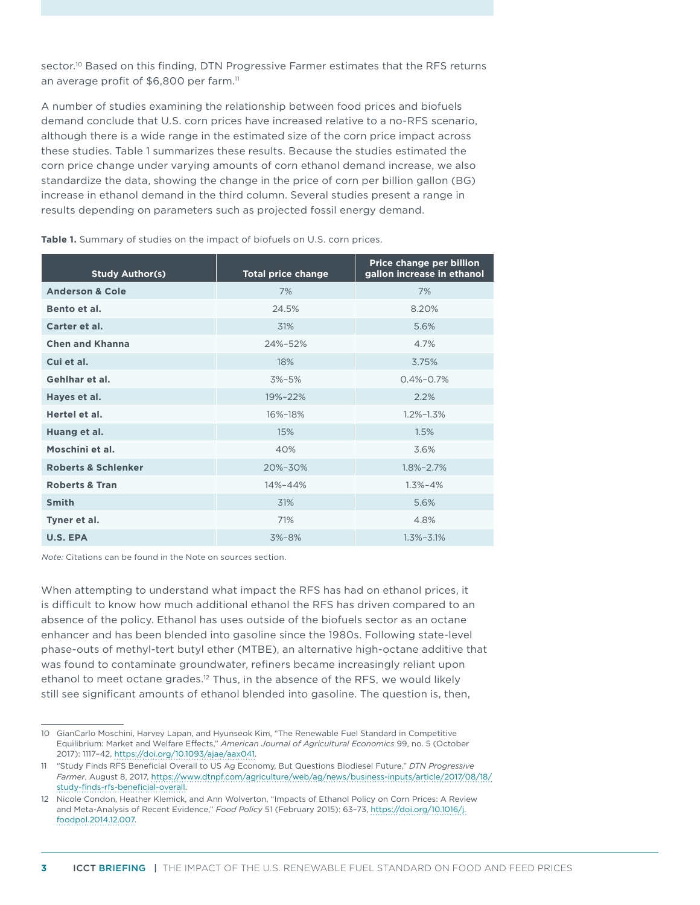sector.<sup>10</sup> Based on this finding, DTN Progressive Farmer estimates that the RFS returns an average profit of \$6,800 per farm.<sup>11</sup>

A number of studies examining the relationship between food prices and biofuels demand conclude that U.S. corn prices have increased relative to a no-RFS scenario, although there is a wide range in the estimated size of the corn price impact across these studies. [Table 1](#page-2-0) summarizes these results. Because the studies estimated the corn price change under varying amounts of corn ethanol demand increase, we also standardize the data, showing the change in the price of corn per billion gallon (BG) increase in ethanol demand in the third column. Several studies present a range in results depending on parameters such as projected fossil energy demand.

| <b>Study Author(s)</b>         | <b>Total price change</b> | Price change per billion<br>gallon increase in ethanol |  |
|--------------------------------|---------------------------|--------------------------------------------------------|--|
| <b>Anderson &amp; Cole</b>     | 7%                        | 7%                                                     |  |
| Bento et al.                   | 24.5%                     | 8.20%                                                  |  |
| Carter et al.                  | 31%                       | 5.6%                                                   |  |
| <b>Chen and Khanna</b>         | 24%-52%                   | 4.7%                                                   |  |
| Cui et al.                     | 18%                       | 3.75%                                                  |  |
| Gehlhar et al.                 | $3\% - 5\%$               | $0.4\% - 0.7\%$                                        |  |
| Hayes et al.                   | 19%-22%                   | 2.2%                                                   |  |
| Hertel et al.                  | 16%-18%                   | $1.2\% - 1.3\%$                                        |  |
| Huang et al.                   | 15%                       | 1.5%                                                   |  |
| Moschini et al.                | 40%                       | 3.6%                                                   |  |
| <b>Roberts &amp; Schlenker</b> | 20%-30%                   | $1.8\% - 2.7\%$                                        |  |
| <b>Roberts &amp; Tran</b>      | 14%-44%                   | $1.3\% - 4\%$                                          |  |
| <b>Smith</b>                   | 31%                       | 5.6%                                                   |  |
| Tyner et al.                   | 71%                       | 4.8%                                                   |  |
| U.S. EPA                       | $3% - 8%$                 | $1.3\% - 3.1\%$                                        |  |

<span id="page-2-0"></span>**Table 1.** Summary of studies on the impact of biofuels on U.S. corn prices.

*Note:* Citations can be found in the Note on sources section.

When attempting to understand what impact the RFS has had on ethanol prices, it is difficult to know how much additional ethanol the RFS has driven compared to an absence of the policy. Ethanol has uses outside of the biofuels sector as an octane enhancer and has been blended into gasoline since the 1980s. Following state-level phase-outs of methyl-tert butyl ether (MTBE), an alternative high-octane additive that was found to contaminate groundwater, refiners became increasingly reliant upon ethanol to meet octane grades.<sup>12</sup> Thus, in the absence of the RFS, we would likely still see significant amounts of ethanol blended into gasoline. The question is, then,

<sup>10</sup> GianCarlo Moschini, Harvey Lapan, and Hyunseok Kim, "The Renewable Fuel Standard in Competitive Equilibrium: Market and Welfare Effects," *American Journal of Agricultural Economics* 99, no. 5 (October 2017): 1117–42, [https://doi.org/10.1093/ajae/aax041.](https://doi.org/10.1093/ajae/aax041)

<sup>11</sup> "Study Finds RFS Beneficial Overall to US Ag Economy, But Questions Biodiesel Future," *DTN Progressive Farmer*, August 8, 2017, [https://www.dtnpf.com/agriculture/web/ag/news/business-inputs/article/2017/08/18/](https://www.dtnpf.com/agriculture/web/ag/news/business-inputs/article/2017/08/18/study-finds-rfs-beneficial-overall) [study-finds-rfs-beneficial-overall](https://www.dtnpf.com/agriculture/web/ag/news/business-inputs/article/2017/08/18/study-finds-rfs-beneficial-overall).

<sup>12</sup> Nicole Condon, Heather Klemick, and Ann Wolverton, "Impacts of Ethanol Policy on Corn Prices: A Review and Meta-Analysis of Recent Evidence," *Food Policy* 51 (February 2015): 63–73, [https://doi.org/10.1016/j.](https://doi.org/10.1016/j.foodpol.2014.12.007) [foodpol.2014.12.007.](https://doi.org/10.1016/j.foodpol.2014.12.007)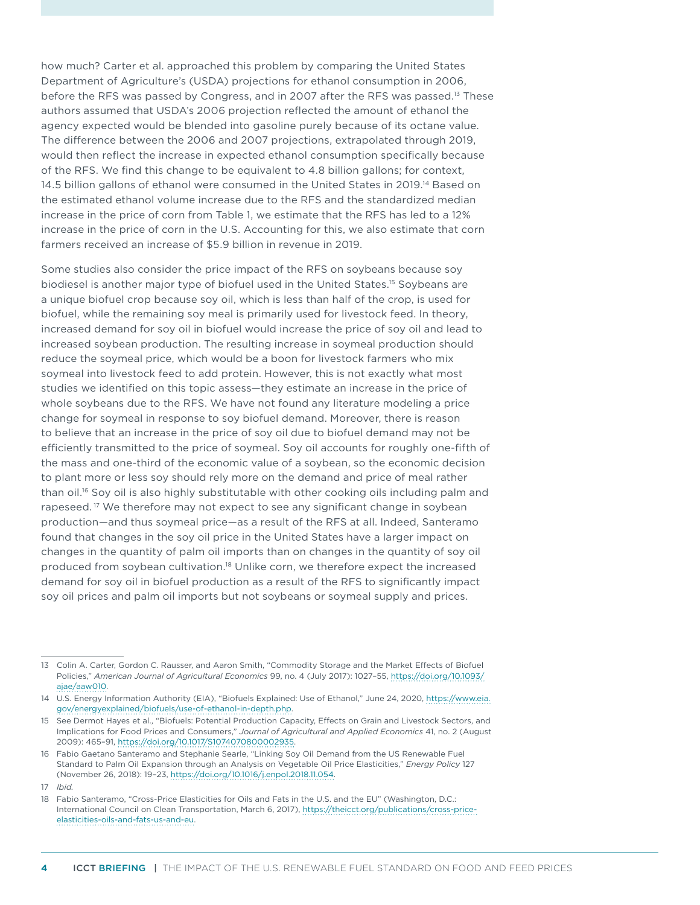how much? Carter et al. approached this problem by comparing the United States Department of Agriculture's (USDA) projections for ethanol consumption in 2006, before the RFS was passed by Congress, and in 2007 after the RFS was passed.<sup>13</sup> These authors assumed that USDA's 2006 projection reflected the amount of ethanol the agency expected would be blended into gasoline purely because of its octane value. The difference between the 2006 and 2007 projections, extrapolated through 2019, would then reflect the increase in expected ethanol consumption specifically because of the RFS. We find this change to be equivalent to 4.8 billion gallons; for context, 14.5 billion gallons of ethanol were consumed in the United States in 2019.14 Based on the estimated ethanol volume increase due to the RFS and the standardized median increase in the price of corn from Table 1, we estimate that the RFS has led to a 12% increase in the price of corn in the U.S. Accounting for this, we also estimate that corn farmers received an increase of \$5.9 billion in revenue in 2019.

Some studies also consider the price impact of the RFS on soybeans because soy biodiesel is another major type of biofuel used in the United States.15 Soybeans are a unique biofuel crop because soy oil, which is less than half of the crop, is used for biofuel, while the remaining soy meal is primarily used for livestock feed. In theory, increased demand for soy oil in biofuel would increase the price of soy oil and lead to increased soybean production. The resulting increase in soymeal production should reduce the soymeal price, which would be a boon for livestock farmers who mix soymeal into livestock feed to add protein. However, this is not exactly what most studies we identified on this topic assess—they estimate an increase in the price of whole soybeans due to the RFS. We have not found any literature modeling a price change for soymeal in response to soy biofuel demand. Moreover, there is reason to believe that an increase in the price of soy oil due to biofuel demand may not be efficiently transmitted to the price of soymeal. Soy oil accounts for roughly one-fifth of the mass and one-third of the economic value of a soybean, so the economic decision to plant more or less soy should rely more on the demand and price of meal rather than oil.<sup>16</sup> Soy oil is also highly substitutable with other cooking oils including palm and rapeseed.<sup>17</sup> We therefore may not expect to see any significant change in soybean production—and thus soymeal price—as a result of the RFS at all. Indeed, Santeramo found that changes in the soy oil price in the United States have a larger impact on changes in the quantity of palm oil imports than on changes in the quantity of soy oil produced from soybean cultivation.18 Unlike corn, we therefore expect the increased demand for soy oil in biofuel production as a result of the RFS to significantly impact soy oil prices and palm oil imports but not soybeans or soymeal supply and prices.

<sup>13</sup> Colin A. Carter, Gordon C. Rausser, and Aaron Smith, "Commodity Storage and the Market Effects of Biofuel Policies," *American Journal of Agricultural Economics* 99, no. 4 (July 2017): 1027–55, [https://doi.org/10.1093/](https://doi.org/10.1093/ajae/aaw010) [ajae/aaw010](https://doi.org/10.1093/ajae/aaw010).

<sup>14</sup> U.S. Energy Information Authority (EIA), "Biofuels Explained: Use of Ethanol," June 24, 2020, [https://www.eia.](https://www.eia.gov/energyexplained/biofuels/use-of-ethanol-in-depth.php) [gov/energyexplained/biofuels/use-of-ethanol-in-depth.php.](https://www.eia.gov/energyexplained/biofuels/use-of-ethanol-in-depth.php)

<sup>15</sup> See Dermot Hayes et al., "Biofuels: Potential Production Capacity, Effects on Grain and Livestock Sectors, and Implications for Food Prices and Consumers," *Journal of Agricultural and Applied Economics* 41, no. 2 (August 2009): 465–91,<https://doi.org/10.1017/S1074070800002935>.

<sup>16</sup> Fabio Gaetano Santeramo and Stephanie Searle, "Linking Soy Oil Demand from the US Renewable Fuel Standard to Palm Oil Expansion through an Analysis on Vegetable Oil Price Elasticities," *Energy Policy* 127 (November 26, 2018): 19–23, [https://doi.org/10.1016/j.enpol.2018.11.054.](https://doi.org/10.1016/j.enpol.2018.11.054)

<sup>17</sup> *Ibid.*

<sup>18</sup> Fabio Santeramo, "Cross-Price Elasticities for Oils and Fats in the U.S. and the EU" (Washington, D.C.: International Council on Clean Transportation, March 6, 2017), [https://theicct.org/publications/cross-price](https://theicct.org/publications/cross-price-elasticities-oils-and-fats-us-and-eu)[elasticities-oils-and-fats-us-and-eu.](https://theicct.org/publications/cross-price-elasticities-oils-and-fats-us-and-eu)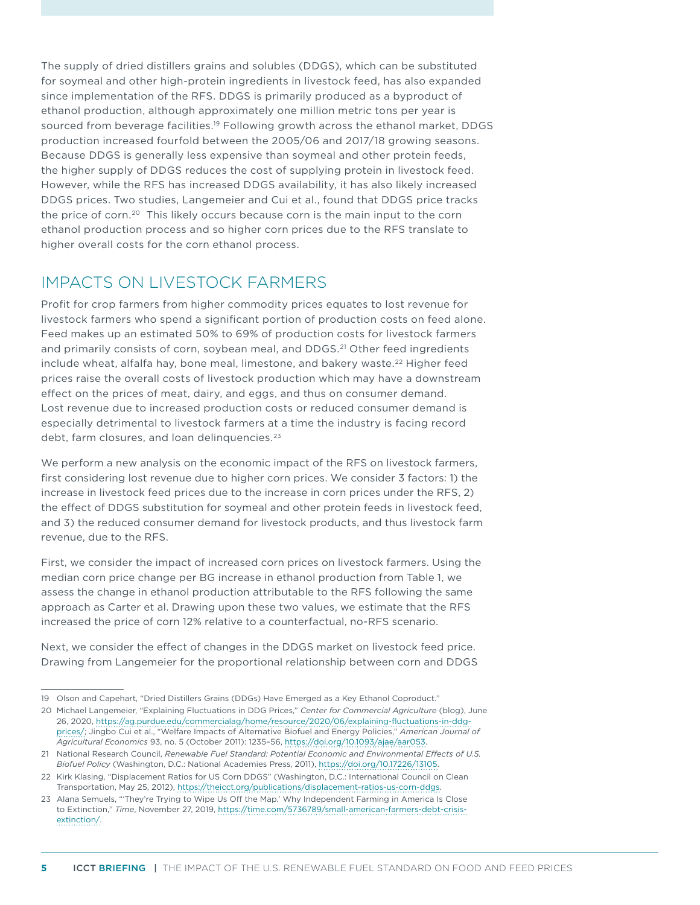The supply of dried distillers grains and solubles (DDGS), which can be substituted for soymeal and other high-protein ingredients in livestock feed, has also expanded since implementation of the RFS. DDGS is primarily produced as a byproduct of ethanol production, although approximately one million metric tons per year is sourced from beverage facilities.<sup>19</sup> Following growth across the ethanol market, DDGS production increased fourfold between the 2005/06 and 2017/18 growing seasons. Because DDGS is generally less expensive than soymeal and other protein feeds, the higher supply of DDGS reduces the cost of supplying protein in livestock feed. However, while the RFS has increased DDGS availability, it has also likely increased DDGS prices. Two studies, Langemeier and Cui et al., found that DDGS price tracks the price of corn.<sup>20</sup> This likely occurs because corn is the main input to the corn ethanol production process and so higher corn prices due to the RFS translate to higher overall costs for the corn ethanol process.

## IMPACTS ON LIVESTOCK FARMERS

Profit for crop farmers from higher commodity prices equates to lost revenue for livestock farmers who spend a significant portion of production costs on feed alone. Feed makes up an estimated 50% to 69% of production costs for livestock farmers and primarily consists of corn, soybean meal, and DDGS.<sup>21</sup> Other feed ingredients include wheat, alfalfa hay, bone meal, limestone, and bakery waste.<sup>22</sup> Higher feed prices raise the overall costs of livestock production which may have a downstream effect on the prices of meat, dairy, and eggs, and thus on consumer demand. Lost revenue due to increased production costs or reduced consumer demand is especially detrimental to livestock farmers at a time the industry is facing record debt, farm closures, and loan delinquencies.<sup>23</sup>

We perform a new analysis on the economic impact of the RFS on livestock farmers, first considering lost revenue due to higher corn prices. We consider 3 factors: 1) the increase in livestock feed prices due to the increase in corn prices under the RFS, 2) the effect of DDGS substitution for soymeal and other protein feeds in livestock feed, and 3) the reduced consumer demand for livestock products, and thus livestock farm revenue, due to the RFS.

First, we consider the impact of increased corn prices on livestock farmers. Using the median corn price change per BG increase in ethanol production from Table 1, we assess the change in ethanol production attributable to the RFS following the same approach as Carter et al. Drawing upon these two values, we estimate that the RFS increased the price of corn 12% relative to a counterfactual, no-RFS scenario.

Next, we consider the effect of changes in the DDGS market on livestock feed price. Drawing from Langemeier for the proportional relationship between corn and DDGS

<sup>19</sup> Olson and Capehart, "Dried Distillers Grains (DDGs) Have Emerged as a Key Ethanol Coproduct."

<sup>20</sup> Michael Langemeier, "Explaining Fluctuations in DDG Prices," *Center for Commercial Agriculture* (blog), June 26, 2020, [https://ag.purdue.edu/commercialag/home/resource/2020/06/explaining-fluctuations-in-ddg](https://ag.purdue.edu/commercialag/home/resource/2020/06/explaining-fluctuations-in-ddg-prices/)[prices/;](https://ag.purdue.edu/commercialag/home/resource/2020/06/explaining-fluctuations-in-ddg-prices/) Jingbo Cui et al., "Welfare Impacts of Alternative Biofuel and Energy Policies," *American Journal of Agricultural Economics* 93, no. 5 (October 2011): 1235–56,<https://doi.org/10.1093/ajae/aar053>.

<sup>21</sup> National Research Council, *Renewable Fuel Standard: Potential Economic and Environmental Effects of U.S. Biofuel Policy* (Washington, D.C.: National Academies Press, 2011), [https://doi.org/10.17226/13105.](https://doi.org/10.17226/13105)

<sup>22</sup> Kirk Klasing, "Displacement Ratios for US Corn DDGS" (Washington, D.C.: International Council on Clean Transportation, May 25, 2012), [https://theicct.org/publications/displacement-ratios-us-corn-ddgs.](https://theicct.org/publications/displacement-ratios-us-corn-ddgs)

<sup>23</sup> Alana Semuels, "'They're Trying to Wipe Us Off the Map.' Why Independent Farming in America Is Close to Extinction," *Time*, November 27, 2019, [https://time.com/5736789/small-american-farmers-debt-crisis](https://time.com/5736789/small-american-farmers-debt-crisis-extinction/)[extinction/](https://time.com/5736789/small-american-farmers-debt-crisis-extinction/).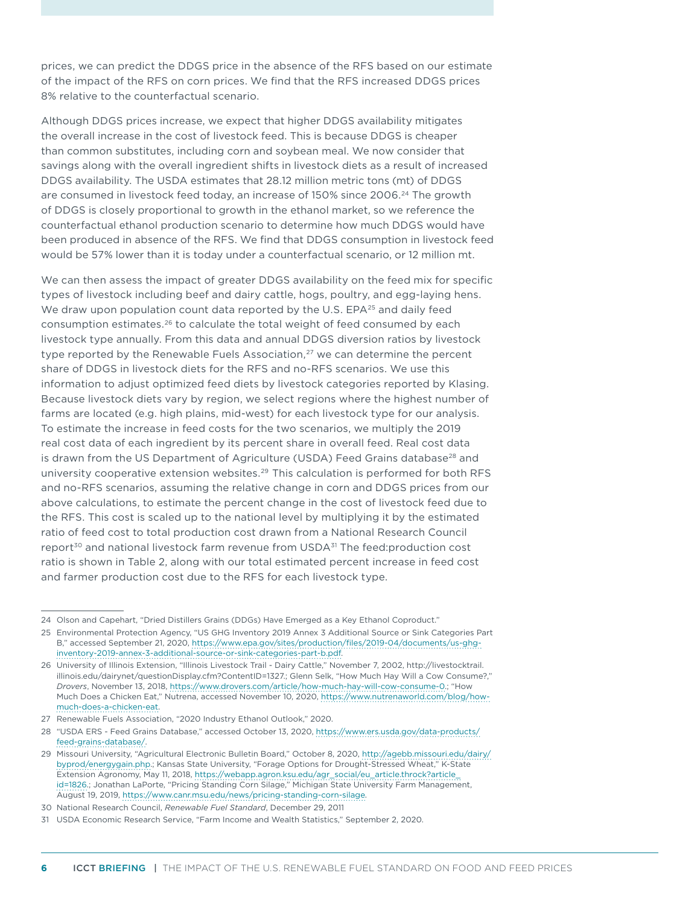prices, we can predict the DDGS price in the absence of the RFS based on our estimate of the impact of the RFS on corn prices. We find that the RFS increased DDGS prices 8% relative to the counterfactual scenario.

Although DDGS prices increase, we expect that higher DDGS availability mitigates the overall increase in the cost of livestock feed. This is because DDGS is cheaper than common substitutes, including corn and soybean meal. We now consider that savings along with the overall ingredient shifts in livestock diets as a result of increased DDGS availability. The USDA estimates that 28.12 million metric tons (mt) of DDGS are consumed in livestock feed today, an increase of 150% since 2006.<sup>24</sup> The growth of DDGS is closely proportional to growth in the ethanol market, so we reference the counterfactual ethanol production scenario to determine how much DDGS would have been produced in absence of the RFS. We find that DDGS consumption in livestock feed would be 57% lower than it is today under a counterfactual scenario, or 12 million mt.

We can then assess the impact of greater DDGS availability on the feed mix for specific types of livestock including beef and dairy cattle, hogs, poultry, and egg-laying hens. We draw upon population count data reported by the U.S. EPA<sup>25</sup> and daily feed consumption estimates.<sup>26</sup> to calculate the total weight of feed consumed by each livestock type annually. From this data and annual DDGS diversion ratios by livestock type reported by the Renewable Fuels Association, $27$  we can determine the percent share of DDGS in livestock diets for the RFS and no-RFS scenarios. We use this information to adjust optimized feed diets by livestock categories reported by Klasing. Because livestock diets vary by region, we select regions where the highest number of farms are located (e.g. high plains, mid-west) for each livestock type for our analysis. To estimate the increase in feed costs for the two scenarios, we multiply the 2019 real cost data of each ingredient by its percent share in overall feed. Real cost data is drawn from the US Department of Agriculture (USDA) Feed Grains database $^{28}$  and university cooperative extension websites.29 This calculation is performed for both RFS and no-RFS scenarios, assuming the relative change in corn and DDGS prices from our above calculations, to estimate the percent change in the cost of livestock feed due to the RFS. This cost is scaled up to the national level by multiplying it by the estimated ratio of feed cost to total production cost drawn from a National Research Council report<sup>30</sup> and national livestock farm revenue from USDA<sup>31</sup> The feed:production cost ratio is shown in Table 2, along with our total estimated percent increase in feed cost and farmer production cost due to the RFS for each livestock type.

<sup>24</sup> Olson and Capehart, "Dried Distillers Grains (DDGs) Have Emerged as a Key Ethanol Coproduct."

<sup>25</sup> Environmental Protection Agency, "US GHG Inventory 2019 Annex 3 Additional Source or Sink Categories Part B," accessed September 21, 2020, [https://www.epa.gov/sites/production/files/2019-04/documents/us-ghg](https://www.epa.gov/sites/production/files/2019-04/documents/us-ghg-inventory-2019-annex-3-additional-source-or-sink-categories-part-b.pdf)[inventory-2019-annex-3-additional-source-or-sink-categories-part-b.pdf](https://www.epa.gov/sites/production/files/2019-04/documents/us-ghg-inventory-2019-annex-3-additional-source-or-sink-categories-part-b.pdf).

<sup>26</sup> University of Illinois Extension, "Illinois Livestock Trail - Dairy Cattle," November 7, 2002, http://livestocktrail. illinois.edu/dairynet/questionDisplay.cfm?ContentID=1327.; Glenn Selk, "How Much Hay Will a Cow Consume?," *Drovers*, November 13, 2018, <https://www.drovers.com/article/how-much-hay-will-cow-consume-0>.; "How Much Does a Chicken Eat," Nutrena, accessed November 10, 2020, [https://www.nutrenaworld.com/blog/how](https://www.nutrenaworld.com/blog/how-much-does-a-chicken-eat)[much-does-a-chicken-eat](https://www.nutrenaworld.com/blog/how-much-does-a-chicken-eat).

<sup>27</sup> Renewable Fuels Association, "2020 Industry Ethanol Outlook," 2020.

<sup>28</sup> "USDA ERS - Feed Grains Database," accessed October 13, 2020, [https://www.ers.usda.gov/data-products/](https://www.ers.usda.gov/data-products/feed-grains-database/) [feed-grains-database/](https://www.ers.usda.gov/data-products/feed-grains-database/).

<sup>29</sup> Missouri University, "Agricultural Electronic Bulletin Board," October 8, 2020, [http://agebb.missouri.edu/dairy/](http://agebb.missouri.edu/dairy/byprod/energygain.php) [byprod/energygain.php.](http://agebb.missouri.edu/dairy/byprod/energygain.php); Kansas State University, "Forage Options for Drought-Stressed Wheat," K-State Extension Agronomy, May 11, 2018, [https://webapp.agron.ksu.edu/agr\\_social/eu\\_article.throck?article\\_](https://webapp.agron.ksu.edu/agr_social/eu_article.throck?article_id=1826) [id=1826](https://webapp.agron.ksu.edu/agr_social/eu_article.throck?article_id=1826).; Jonathan LaPorte, "Pricing Standing Corn Silage," Michigan State University Farm Management, August 19, 2019,<https://www.canr.msu.edu/news/pricing-standing-corn-silage>.

<sup>30</sup> National Research Council, *Renewable Fuel Standard*, December 29, 2011

<sup>31</sup> USDA Economic Research Service, "Farm Income and Wealth Statistics," September 2, 2020.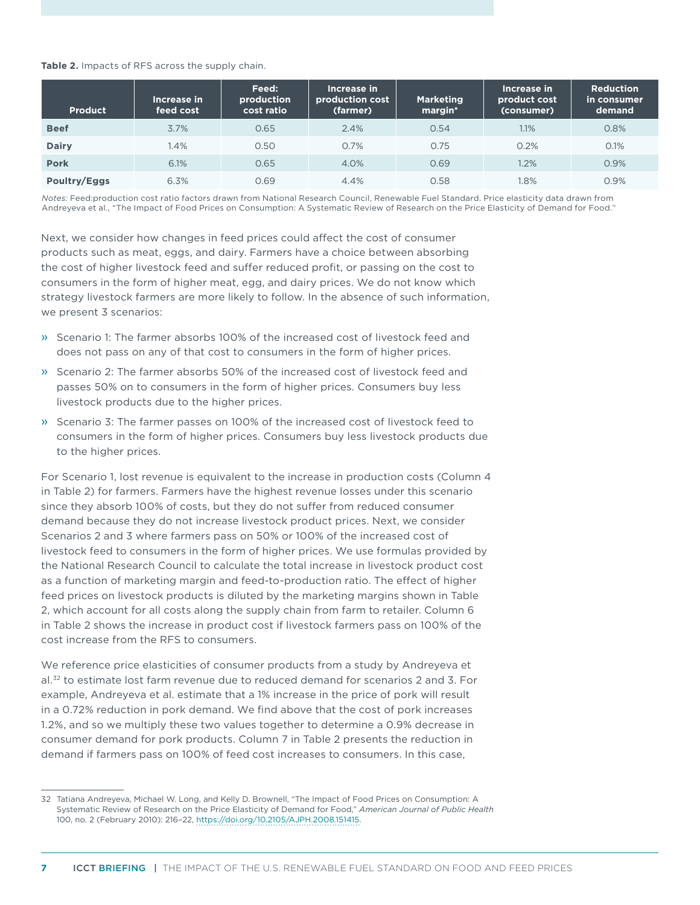#### **Table 2.** Impacts of RFS across the supply chain.

| <b>Product</b> | Increase in<br>feed cost | Feed:<br>production<br>cost ratio | Increase in<br>production cost<br>(farmer) | <b>Marketing</b><br>margin* | Increase in<br>product cost<br>(consumer) | <b>Reduction</b><br>in consumer<br>demand |
|----------------|--------------------------|-----------------------------------|--------------------------------------------|-----------------------------|-------------------------------------------|-------------------------------------------|
| <b>Beef</b>    | 3.7%                     | 0.65                              | 2.4%                                       | 0.54                        | 1.1%                                      | 0.8%                                      |
| <b>Dairy</b>   | 1.4%                     | 0.50                              | 0.7%                                       | 0.75                        | 0.2%                                      | 0.1%                                      |
| <b>Pork</b>    | 6.1%                     | 0.65                              | 4.0%                                       | 0.69                        | 1.2%                                      | 0.9%                                      |
| Poultry/Eggs   | 6.3%                     | 0.69                              | 4.4%                                       | 0.58                        | 1.8%                                      | 0.9%                                      |

*Notes:* Feed:production cost ratio factors drawn from National Research Council, Renewable Fuel Standard. Price elasticity data drawn from Andreyeva et al., "The Impact of Food Prices on Consumption: A Systematic Review of Research on the Price Elasticity of Demand for Food."

Next, we consider how changes in feed prices could affect the cost of consumer products such as meat, eggs, and dairy. Farmers have a choice between absorbing the cost of higher livestock feed and suffer reduced profit, or passing on the cost to consumers in the form of higher meat, egg, and dairy prices. We do not know which strategy livestock farmers are more likely to follow. In the absence of such information, we present 3 scenarios:

- » Scenario 1: The farmer absorbs 100% of the increased cost of livestock feed and does not pass on any of that cost to consumers in the form of higher prices.
- » Scenario 2: The farmer absorbs 50% of the increased cost of livestock feed and passes 50% on to consumers in the form of higher prices. Consumers buy less livestock products due to the higher prices.
- » Scenario 3: The farmer passes on 100% of the increased cost of livestock feed to consumers in the form of higher prices. Consumers buy less livestock products due to the higher prices.

For Scenario 1, lost revenue is equivalent to the increase in production costs (Column 4 in Table 2) for farmers. Farmers have the highest revenue losses under this scenario since they absorb 100% of costs, but they do not suffer from reduced consumer demand because they do not increase livestock product prices. Next, we consider Scenarios 2 and 3 where farmers pass on 50% or 100% of the increased cost of livestock feed to consumers in the form of higher prices. We use formulas provided by the National Research Council to calculate the total increase in livestock product cost as a function of marketing margin and feed-to-production ratio. The effect of higher feed prices on livestock products is diluted by the marketing margins shown in Table 2, which account for all costs along the supply chain from farm to retailer. Column 6 in Table 2 shows the increase in product cost if livestock farmers pass on 100% of the cost increase from the RFS to consumers.

We reference price elasticities of consumer products from a study by Andreyeva et al.32 to estimate lost farm revenue due to reduced demand for scenarios 2 and 3. For example, Andreyeva et al. estimate that a 1% increase in the price of pork will result in a 0.72% reduction in pork demand. We find above that the cost of pork increases 1.2%, and so we multiply these two values together to determine a 0.9% decrease in consumer demand for pork products. Column 7 in Table 2 presents the reduction in demand if farmers pass on 100% of feed cost increases to consumers. In this case,

<sup>32</sup> Tatiana Andreyeva, Michael W. Long, and Kelly D. Brownell, "The Impact of Food Prices on Consumption: A Systematic Review of Research on the Price Elasticity of Demand for Food," *American Journal of Public Health* 100, no. 2 (February 2010): 216–22, <https://doi.org/10.2105/AJPH.2008.151415>.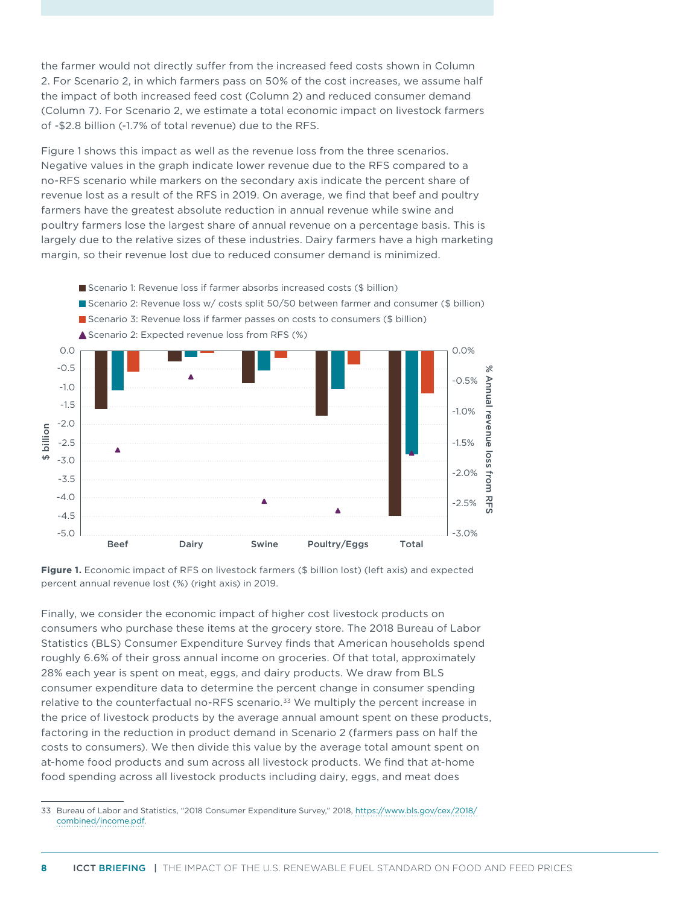the farmer would not directly suffer from the increased feed costs shown in Column 2. For Scenario 2, in which farmers pass on 50% of the cost increases, we assume half the impact of both increased feed cost (Column 2) and reduced consumer demand (Column 7). For Scenario 2, we estimate a total economic impact on livestock farmers of -\$2.8 billion (-1.7% of total revenue) due to the RFS.

Figure 1 shows this impact as well as the revenue loss from the three scenarios. Negative values in the graph indicate lower revenue due to the RFS compared to a no-RFS scenario while markers on the secondary axis indicate the percent share of revenue lost as a result of the RFS in 2019. On average, we find that beef and poultry farmers have the greatest absolute reduction in annual revenue while swine and poultry farmers lose the largest share of annual revenue on a percentage basis. This is largely due to the relative sizes of these industries. Dairy farmers have a high marketing margin, so their revenue lost due to reduced consumer demand is minimized.



<sup>■</sup> Scenario 1: Revenue loss if farmer absorbs increased costs (\$ billion)

Finally, we consider the economic impact of higher cost livestock products on consumers who purchase these items at the grocery store. The 2018 Bureau of Labor Statistics (BLS) Consumer Expenditure Survey finds that American households spend roughly 6.6% of their gross annual income on groceries. Of that total, approximately 28% each year is spent on meat, eggs, and dairy products. We draw from BLS consumer expenditure data to determine the percent change in consumer spending relative to the counterfactual no-RFS scenario.<sup>33</sup> We multiply the percent increase in the price of livestock products by the average annual amount spent on these products, factoring in the reduction in product demand in Scenario 2 (farmers pass on half the costs to consumers). We then divide this value by the average total amount spent on at-home food products and sum across all livestock products. We find that at-home food spending across all livestock products including dairy, eggs, and meat does

Figure 1. Economic impact of RFS on livestock farmers (\$ billion lost) (left axis) and expected percent annual revenue lost (%) (right axis) in 2019.

<sup>33</sup> Bureau of Labor and Statistics, "2018 Consumer Expenditure Survey," 2018, [https://www.bls.gov/cex/2018/](https://www.bls.gov/cex/2018/combined/income.pdf) [combined/income.pdf](https://www.bls.gov/cex/2018/combined/income.pdf).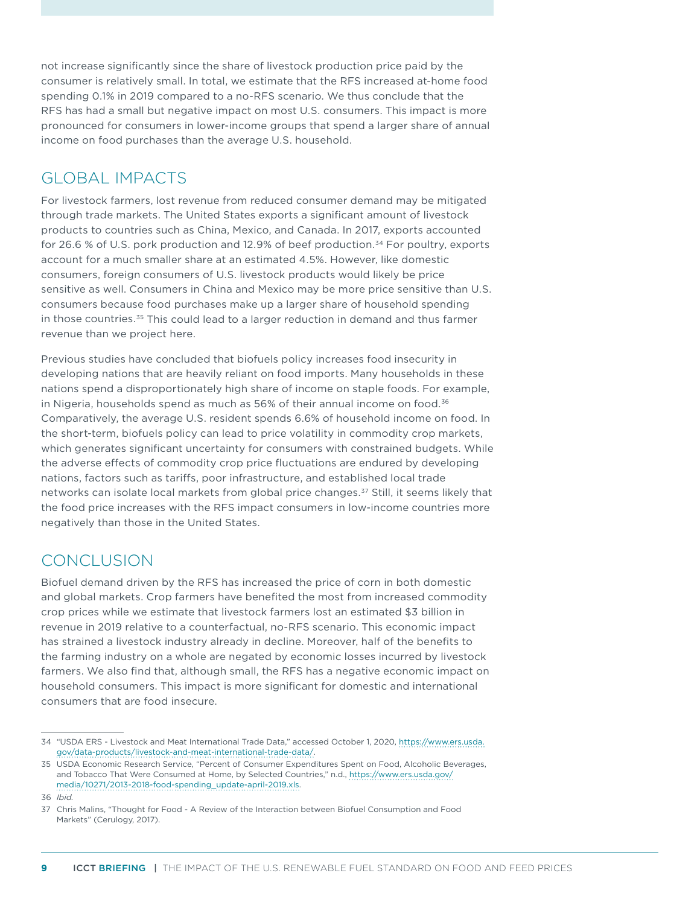not increase significantly since the share of livestock production price paid by the consumer is relatively small. In total, we estimate that the RFS increased at-home food spending 0.1% in 2019 compared to a no-RFS scenario. We thus conclude that the RFS has had a small but negative impact on most U.S. consumers. This impact is more pronounced for consumers in lower-income groups that spend a larger share of annual income on food purchases than the average U.S. household.

## GLOBAL IMPACTS

For livestock farmers, lost revenue from reduced consumer demand may be mitigated through trade markets. The United States exports a significant amount of livestock products to countries such as China, Mexico, and Canada. In 2017, exports accounted for 26.6 % of U.S. pork production and 12.9% of beef production.<sup>34</sup> For poultry, exports account for a much smaller share at an estimated 4.5%. However, like domestic consumers, foreign consumers of U.S. livestock products would likely be price sensitive as well. Consumers in China and Mexico may be more price sensitive than U.S. consumers because food purchases make up a larger share of household spending in those countries.35 This could lead to a larger reduction in demand and thus farmer revenue than we project here.

Previous studies have concluded that biofuels policy increases food insecurity in developing nations that are heavily reliant on food imports. Many households in these nations spend a disproportionately high share of income on staple foods. For example, in Nigeria, households spend as much as 56% of their annual income on food.<sup>36</sup> Comparatively, the average U.S. resident spends 6.6% of household income on food. In the short-term, biofuels policy can lead to price volatility in commodity crop markets, which generates significant uncertainty for consumers with constrained budgets. While the adverse effects of commodity crop price fluctuations are endured by developing nations, factors such as tariffs, poor infrastructure, and established local trade networks can isolate local markets from global price changes.<sup>37</sup> Still, it seems likely that the food price increases with the RFS impact consumers in low-income countries more negatively than those in the United States.

# CONCLUSION

Biofuel demand driven by the RFS has increased the price of corn in both domestic and global markets. Crop farmers have benefited the most from increased commodity crop prices while we estimate that livestock farmers lost an estimated \$3 billion in revenue in 2019 relative to a counterfactual, no-RFS scenario. This economic impact has strained a livestock industry already in decline. Moreover, half of the benefits to the farming industry on a whole are negated by economic losses incurred by livestock farmers. We also find that, although small, the RFS has a negative economic impact on household consumers. This impact is more significant for domestic and international consumers that are food insecure.

<sup>34</sup> "USDA ERS - Livestock and Meat International Trade Data," accessed October 1, 2020, [https://www.ers.usda.](https://www.ers.usda.gov/data-products/livestock-and-meat-international-trade-data/) [gov/data-products/livestock-and-meat-international-trade-data/](https://www.ers.usda.gov/data-products/livestock-and-meat-international-trade-data/).

<sup>35</sup> USDA Economic Research Service, "Percent of Consumer Expenditures Spent on Food, Alcoholic Beverages, and Tobacco That Were Consumed at Home, by Selected Countries," n.d., [https://www.ers.usda.gov/](https://www.ers.usda.gov/media/10271/2013-2018-food-spending_update-april-2019.xls) [media/10271/2013-2018-food-spending\\_update-april-2019.xls.](https://www.ers.usda.gov/media/10271/2013-2018-food-spending_update-april-2019.xls)

<sup>36</sup> *Ibid.*

<sup>37</sup> Chris Malins, "Thought for Food - A Review of the Interaction between Biofuel Consumption and Food Markets" (Cerulogy, 2017).